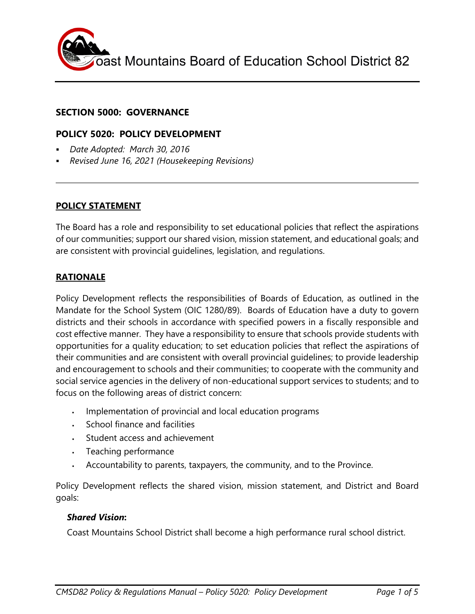

## **SECTION 5000: GOVERNANCE**

## **POLICY 5020: POLICY DEVELOPMENT**

- *Date Adopted: March 30, 2016*
- *Revised June 16, 2021 (Housekeeping Revisions)*

#### **POLICY STATEMENT**

The Board has a role and responsibility to set educational policies that reflect the aspirations of our communities; support our shared vision, mission statement, and educational goals; and are consistent with provincial guidelines, legislation, and regulations.

#### **RATIONALE**

Policy Development reflects the responsibilities of Boards of Education, as outlined in the Mandate for the School System (OIC 1280/89). Boards of Education have a duty to govern districts and their schools in accordance with specified powers in a fiscally responsible and cost effective manner. They have a responsibility to ensure that schools provide students with opportunities for a quality education; to set education policies that reflect the aspirations of their communities and are consistent with overall provincial guidelines; to provide leadership and encouragement to schools and their communities; to cooperate with the community and social service agencies in the delivery of non-educational support services to students; and to focus on the following areas of district concern:

- Implementation of provincial and local education programs
- School finance and facilities
- Student access and achievement
- . Teaching performance
- Accountability to parents, taxpayers, the community, and to the Province.

Policy Development reflects the shared vision, mission statement, and District and Board goals:

#### *Shared Vision***:**

Coast Mountains School District shall become a high performance rural school district.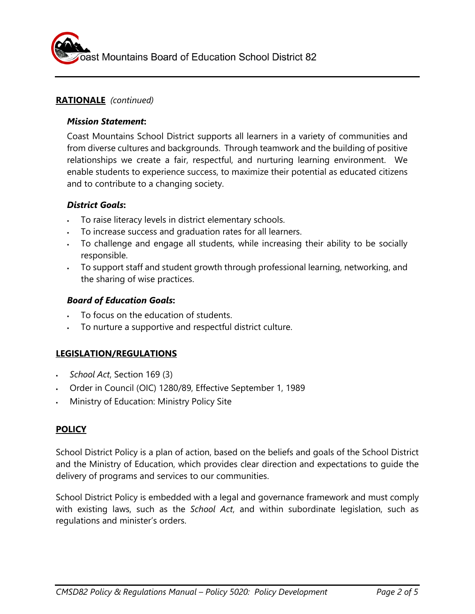

## **RATIONALE** *(continued)*

#### *Mission Statement***:**

Coast Mountains School District supports all learners in a variety of communities and from diverse cultures and backgrounds. Through teamwork and the building of positive relationships we create a fair, respectful, and nurturing learning environment. We enable students to experience success, to maximize their potential as educated citizens and to contribute to a changing society.

# *District Goals***:**

- To raise literacy levels in district elementary schools.
- To increase success and graduation rates for all learners.
- To challenge and engage all students, while increasing their ability to be socially responsible.
- To support staff and student growth through professional learning, networking, and the sharing of wise practices.

# *Board of Education Goals***:**

- To focus on the education of students.
- To nurture a supportive and respectful district culture.

# **LEGISLATION/REGULATIONS**

- *School Act*, Section 169 (3)
- Order in Council (OIC) 1280/89, Effective September 1, 1989
- Ministry of Education: Ministry Policy Site

# **POLICY**

School District Policy is a plan of action, based on the beliefs and goals of the School District and the Ministry of Education, which provides clear direction and expectations to guide the delivery of programs and services to our communities.

School District Policy is embedded with a legal and governance framework and must comply with existing laws, such as the *School Act*, and within subordinate legislation, such as regulations and minister's orders.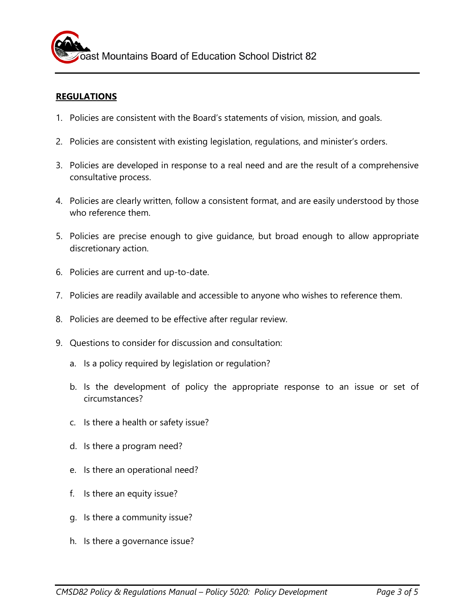### **REGULATIONS**

- 1. Policies are consistent with the Board's statements of vision, mission, and goals.
- 2. Policies are consistent with existing legislation, regulations, and minister's orders.
- 3. Policies are developed in response to a real need and are the result of a comprehensive consultative process.
- 4. Policies are clearly written, follow a consistent format, and are easily understood by those who reference them.
- 5. Policies are precise enough to give guidance, but broad enough to allow appropriate discretionary action.
- 6. Policies are current and up-to-date.
- 7. Policies are readily available and accessible to anyone who wishes to reference them.
- 8. Policies are deemed to be effective after regular review.
- 9. Questions to consider for discussion and consultation:
	- a. Is a policy required by legislation or regulation?
	- b. Is the development of policy the appropriate response to an issue or set of circumstances?
	- c. Is there a health or safety issue?
	- d. Is there a program need?
	- e. Is there an operational need?
	- f. Is there an equity issue?
	- g. Is there a community issue?
	- h. Is there a governance issue?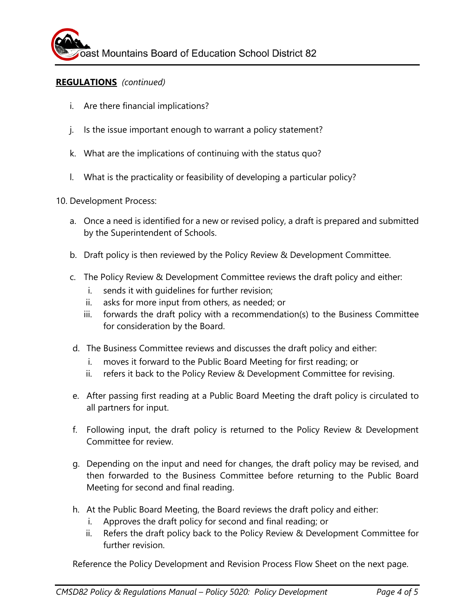### **REGULATIONS** *(continued)*

- i. Are there financial implications?
- j. Is the issue important enough to warrant a policy statement?
- k. What are the implications of continuing with the status quo?
- l. What is the practicality or feasibility of developing a particular policy?

10. Development Process:

- a. Once a need is identified for a new or revised policy, a draft is prepared and submitted by the Superintendent of Schools.
- b. Draft policy is then reviewed by the Policy Review & Development Committee.
- c. The Policy Review & Development Committee reviews the draft policy and either:
	- i. sends it with guidelines for further revision;
	- ii. asks for more input from others, as needed; or
	- iii. forwards the draft policy with a recommendation(s) to the Business Committee for consideration by the Board.
- d. The Business Committee reviews and discusses the draft policy and either:
	- i. moves it forward to the Public Board Meeting for first reading; or
	- ii. refers it back to the Policy Review & Development Committee for revising.
- e. After passing first reading at a Public Board Meeting the draft policy is circulated to all partners for input.
- f. Following input, the draft policy is returned to the Policy Review & Development Committee for review.
- g. Depending on the input and need for changes, the draft policy may be revised, and then forwarded to the Business Committee before returning to the Public Board Meeting for second and final reading.
- h. At the Public Board Meeting, the Board reviews the draft policy and either:
	- i. Approves the draft policy for second and final reading; or
	- ii. Refers the draft policy back to the Policy Review & Development Committee for further revision.

Reference the Policy Development and Revision Process Flow Sheet on the next page.